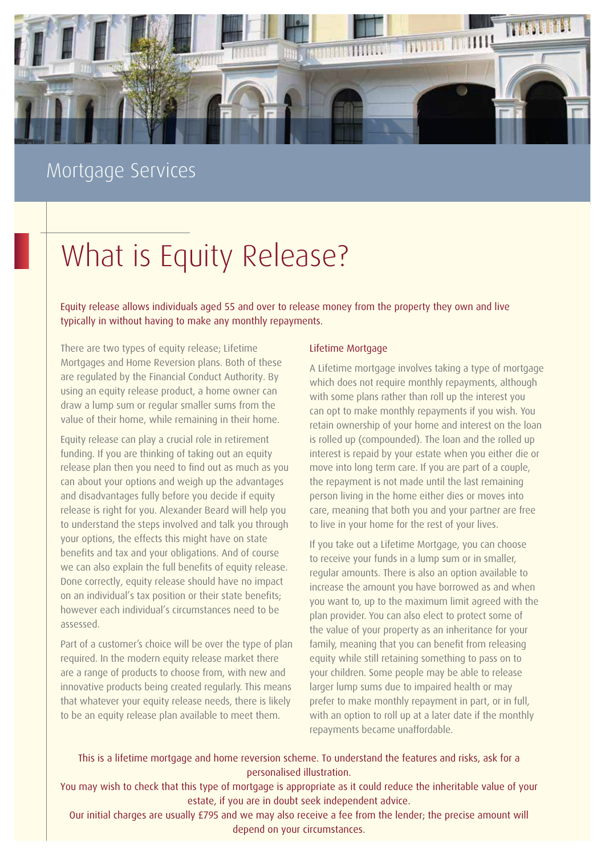

# Mortgage Services

# What is Equity Release?

Equity release allows individuals aged 55 and over to release money from the property they own and live typically in without having to make any monthly repayments.

There are two types of equity release; Lifetime Mortgages and Home Reversion plans. Both of these are regulated by the Financial Conduct Authority. By using an equity release product, a home owner can draw a lump sum or regular smaller sums from the value of their home, while remaining in their home.

Equity release can play a crucial role in retirement funding. If you are thinking of taking out an equity release plan then you need to find out as much as you can about your options and weigh up the advantages and disadvantages fully before you decide if equity release is right for you. Alexander Beard will help you to understand the steps involved and talk you through your options, the effects this might have on state benefits and tax and your obligations. And of course we can also explain the full benefits of equity release. Done correctly, equity release should have no impact on an individual's tax position or their state benefits; however each individual's circumstances need to be assessed.

Part of a customer's choice will be over the type of plan required. In the modern equity release market there are a range of products to choose from, with new and innovative products being created regularly. This means that whatever your equity release needs, there is likely to be an equity release plan available to meet them.

### Lifetime Mortgage

A Lifetime mortgage involves taking a type of mortgage which does not require monthly repayments, although with some plans rather than roll up the interest you can opt to make monthly repayments if you wish. You retain ownership of your home and interest on the loan is rolled up (compounded). The loan and the rolled up interest is repaid by your estate when you either die or move into long term care. If you are part of a couple, the repayment is not made until the last remaining person living in the home either dies or moves into care, meaning that both you and your partner are free to live in your home for the rest of your lives.

If you take out a Lifetime Mortgage, you can choose to receive your funds in a lump sum or in smaller, regular amounts. There is also an option available to increase the amount you have borrowed as and when you want to, up to the maximum limit agreed with the plan provider. You can also elect to protect some of the value of your property as an inheritance for your family, meaning that you can benefit from releasing equity while still retaining something to pass on to your children. Some people may be able to release larger lump sums due to impaired health or may prefer to make monthly repayment in part, or in full, with an option to roll up at a later date if the monthly repayments became unaffordable.

This is a lifetime mortgage and home reversion scheme. To understand the features and risks, ask for a personalised illustration.

You may wish to check that this type of mortgage is appropriate as it could reduce the inheritable value of your estate, if you are in doubt seek independent advice.

Our initial charges are usually £795 and we may also receive a fee from the lender; the precise amount will depend on your circumstances.